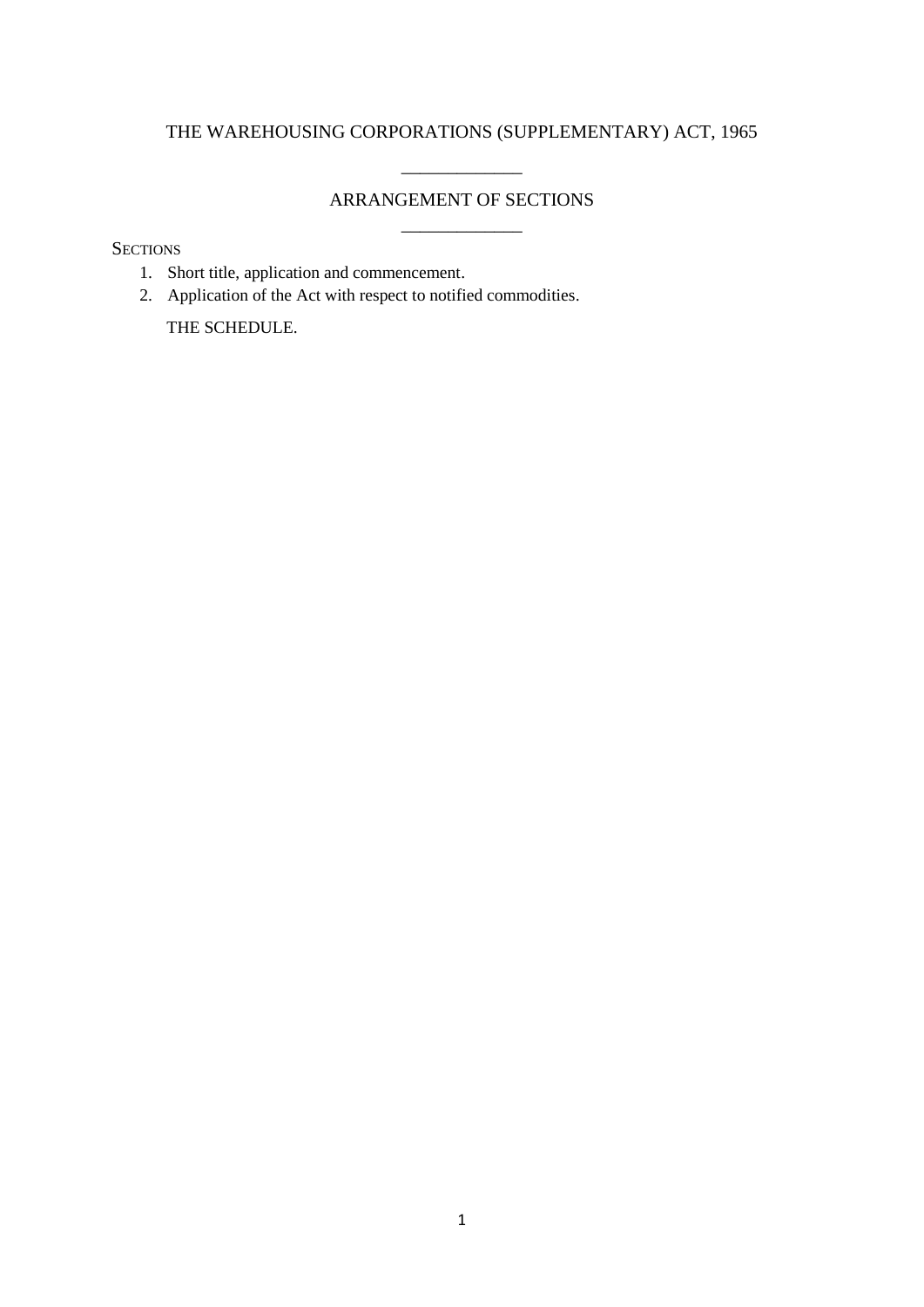## THE WAREHOUSING CORPORATIONS (SUPPLEMENTARY) ACT, 1965

# ARRANGEMENT OF SECTIONS \_\_\_\_\_\_\_\_\_\_\_\_\_

\_\_\_\_\_\_\_\_\_\_\_\_\_

**SECTIONS** 

- 1. Short title, application and commencement.
- 2. Application of the Act with respect to notified commodities.

THE SCHEDULE.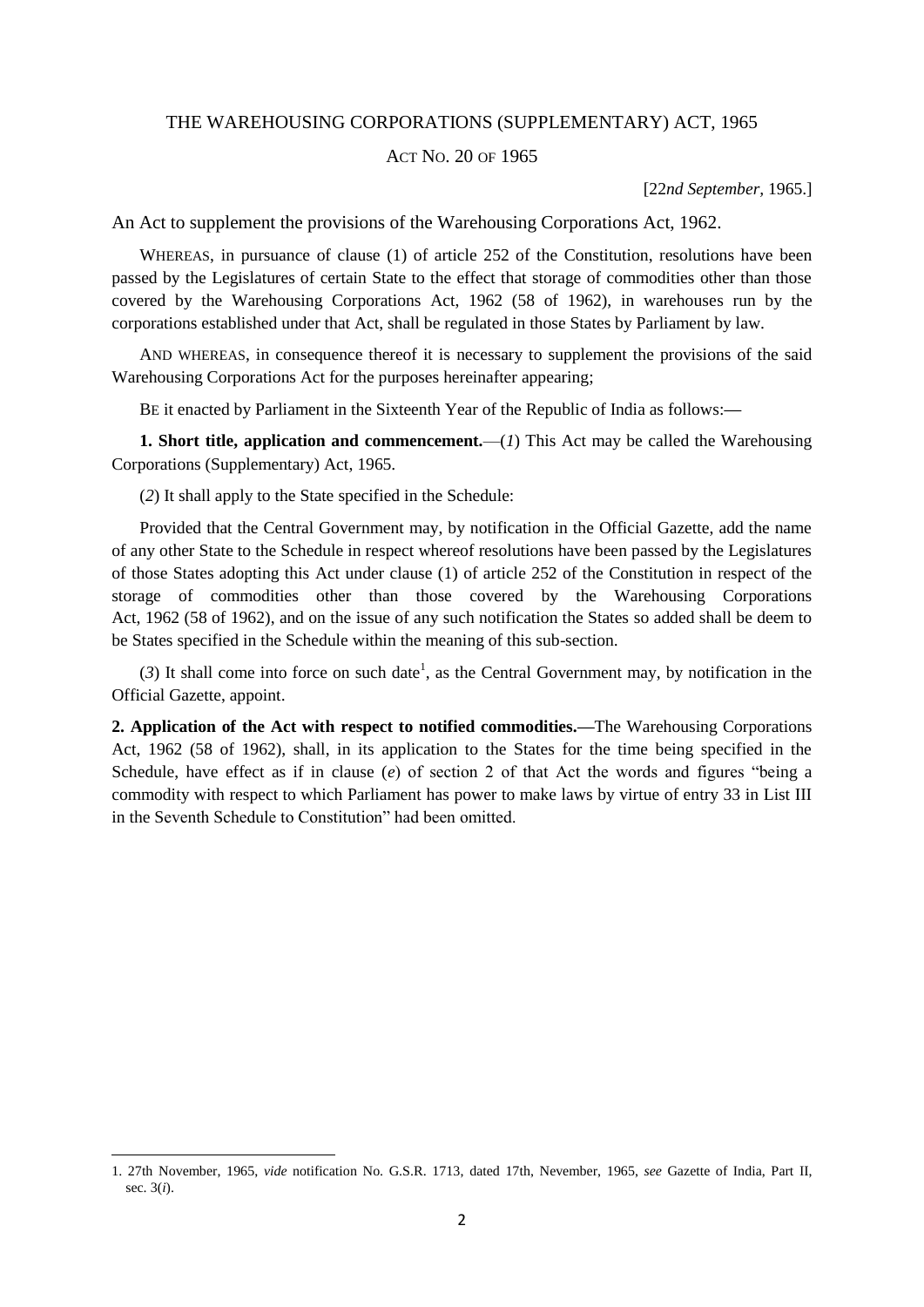## THE WAREHOUSING CORPORATIONS (SUPPLEMENTARY) ACT, 1965

## ACT NO. 20 OF 1965

[22*nd September,* 1965.]

An Act to supplement the provisions of the Warehousing Corporations Act, 1962.

WHEREAS, in pursuance of clause (1) of article 252 of the Constitution, resolutions have been passed by the Legislatures of certain State to the effect that storage of commodities other than those covered by the Warehousing Corporations Act, 1962 (58 of 1962), in warehouses run by the corporations established under that Act, shall be regulated in those States by Parliament by law.

AND WHEREAS, in consequence thereof it is necessary to supplement the provisions of the said Warehousing Corporations Act for the purposes hereinafter appearing;

BE it enacted by Parliament in the Sixteenth Year of the Republic of India as follows:**—**

**1. Short title, application and commencement.**—(*1*) This Act may be called the Warehousing Corporations (Supplementary) Act, 1965.

(*2*) It shall apply to the State specified in the Schedule:

1

Provided that the Central Government may, by notification in the Official Gazette, add the name of any other State to the Schedule in respect whereof resolutions have been passed by the Legislatures of those States adopting this Act under clause (1) of article 252 of the Constitution in respect of the storage of commodities other than those covered by the Warehousing Corporations Act, 1962 (58 of 1962), and on the issue of any such notification the States so added shall be deem to be States specified in the Schedule within the meaning of this sub-section.

 $(3)$  It shall come into force on such date<sup>1</sup>, as the Central Government may, by notification in the Official Gazette, appoint.

**2. Application of the Act with respect to notified commodities.—**The Warehousing Corporations Act, 1962 (58 of 1962), shall, in its application to the States for the time being specified in the Schedule, have effect as if in clause (*e*) of section 2 of that Act the words and figures "being a commodity with respect to which Parliament has power to make laws by virtue of entry 33 in List III in the Seventh Schedule to Constitution" had been omitted.

<sup>1. 27</sup>th November, 1965, *vide* notification No. G.S.R. 1713, dated 17th, Nevember, 1965, *see* Gazette of India, Part II, sec. 3(*i*).